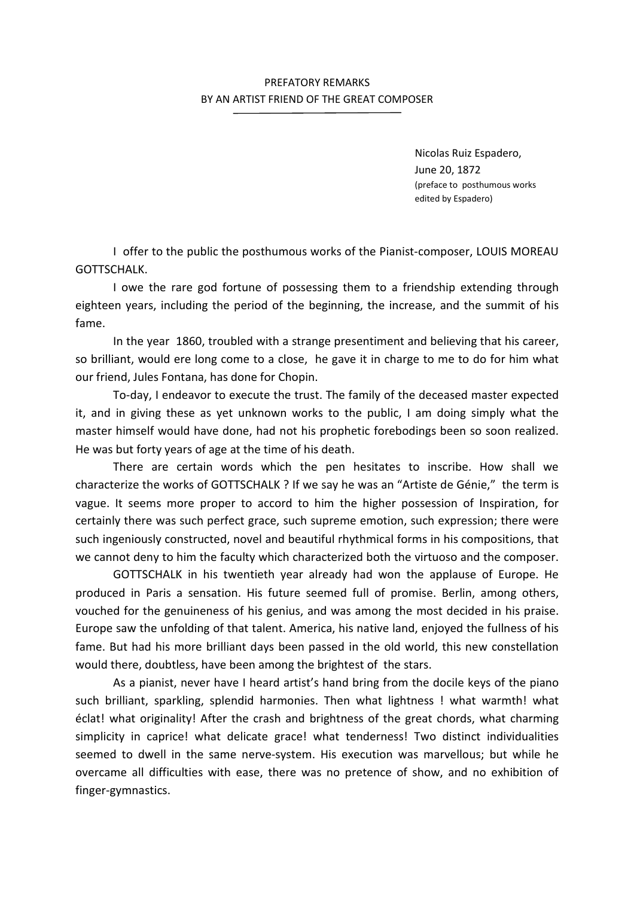## PREFATORY REMARKS BY AN ARTIST FRIEND OF THE GREAT COMPOSER

Nicolas Ruiz Espadero, June 20, 1872 (preface to posthumous works edited by Espadero)

I offer to the public the posthumous works of the Pianist-composer, LOUIS MOREAU GOTTSCHALK.

I owe the rare god fortune of possessing them to a friendship extending through eighteen years, including the period of the beginning, the increase, and the summit of his fame.

 In the year 1860, troubled with a strange presentiment and believing that his career, so brilliant, would ere long come to a close, he gave it in charge to me to do for him what our friend, Jules Fontana, has done for Chopin.

 To-day, I endeavor to execute the trust. The family of the deceased master expected it, and in giving these as yet unknown works to the public, I am doing simply what the master himself would have done, had not his prophetic forebodings been so soon realized. He was but forty years of age at the time of his death.

 There are certain words which the pen hesitates to inscribe. How shall we characterize the works of GOTTSCHALK ? If we say he was an "Artiste de Génie," the term is vague. It seems more proper to accord to him the higher possession of Inspiration, for certainly there was such perfect grace, such supreme emotion, such expression; there were such ingeniously constructed, novel and beautiful rhythmical forms in his compositions, that we cannot deny to him the faculty which characterized both the virtuoso and the composer.

 GOTTSCHALK in his twentieth year already had won the applause of Europe. He produced in Paris a sensation. His future seemed full of promise. Berlin, among others, vouched for the genuineness of his genius, and was among the most decided in his praise. Europe saw the unfolding of that talent. America, his native land, enjoyed the fullness of his fame. But had his more brilliant days been passed in the old world, this new constellation would there, doubtless, have been among the brightest of the stars.

 As a pianist, never have I heard artist's hand bring from the docile keys of the piano such brilliant, sparkling, splendid harmonies. Then what lightness ! what warmth! what éclat! what originality! After the crash and brightness of the great chords, what charming simplicity in caprice! what delicate grace! what tenderness! Two distinct individualities seemed to dwell in the same nerve-system. His execution was marvellous; but while he overcame all difficulties with ease, there was no pretence of show, and no exhibition of finger-gymnastics.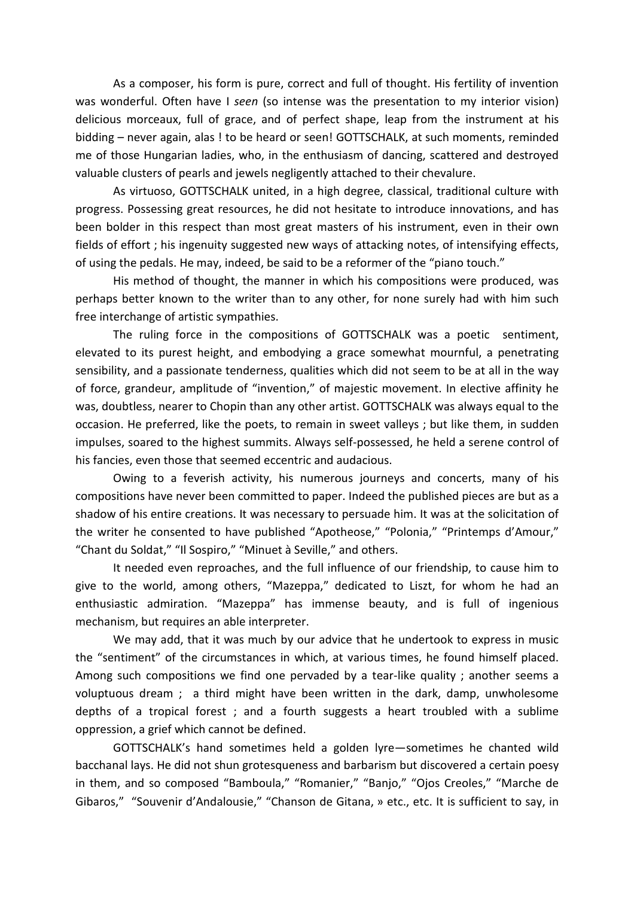As a composer, his form is pure, correct and full of thought. His fertility of invention was wonderful. Often have I seen (so intense was the presentation to my interior vision) delicious morceaux, full of grace, and of perfect shape, leap from the instrument at his bidding - never again, alas ! to be heard or seen! GOTTSCHALK, at such moments, reminded me of those Hungarian ladies, who, in the enthusiasm of dancing, scattered and destroyed valuable clusters of pearls and jewels negligently attached to their chevalure.

 As virtuoso, GOTTSCHALK united, in a high degree, classical, traditional culture with progress. Possessing great resources, he did not hesitate to introduce innovations, and has been bolder in this respect than most great masters of his instrument, even in their own fields of effort ; his ingenuity suggested new ways of attacking notes, of intensifying effects, of using the pedals. He may, indeed, be said to be a reformer of the "piano touch."

 His method of thought, the manner in which his compositions were produced, was perhaps better known to the writer than to any other, for none surely had with him such free interchange of artistic sympathies.

 The ruling force in the compositions of GOTTSCHALK was a poetic sentiment, elevated to its purest height, and embodying a grace somewhat mournful, a penetrating sensibility, and a passionate tenderness, qualities which did not seem to be at all in the way of force, grandeur, amplitude of "invention," of majestic movement. In elective affinity he was, doubtless, nearer to Chopin than any other artist. GOTTSCHALK was always equal to the occasion. He preferred, like the poets, to remain in sweet valleys ; but like them, in sudden impulses, soared to the highest summits. Always self-possessed, he held a serene control of his fancies, even those that seemed eccentric and audacious.

 Owing to a feverish activity, his numerous journeys and concerts, many of his compositions have never been committed to paper. Indeed the published pieces are but as a shadow of his entire creations. It was necessary to persuade him. It was at the solicitation of the writer he consented to have published "Apotheose," "Polonia," "Printemps d'Amour," "Chant du Soldat," "Il Sospiro," "Minuet à Seville," and others.

 It needed even reproaches, and the full influence of our friendship, to cause him to give to the world, among others, "Mazeppa," dedicated to Liszt, for whom he had an enthusiastic admiration. "Mazeppa" has immense beauty, and is full of ingenious mechanism, but requires an able interpreter.

 We may add, that it was much by our advice that he undertook to express in music the "sentiment" of the circumstances in which, at various times, he found himself placed. Among such compositions we find one pervaded by a tear-like quality ; another seems a voluptuous dream ; a third might have been written in the dark, damp, unwholesome depths of a tropical forest ; and a fourth suggests a heart troubled with a sublime oppression, a grief which cannot be defined.

 GOTTSCHALK's hand sometimes held a golden lyre—sometimes he chanted wild bacchanal lays. He did not shun grotesqueness and barbarism but discovered a certain poesy in them, and so composed "Bamboula," "Romanier," "Banjo," "Ojos Creoles," "Marche de Gibaros," "Souvenir d'Andalousie," "Chanson de Gitana, » etc., etc. It is sufficient to say, in